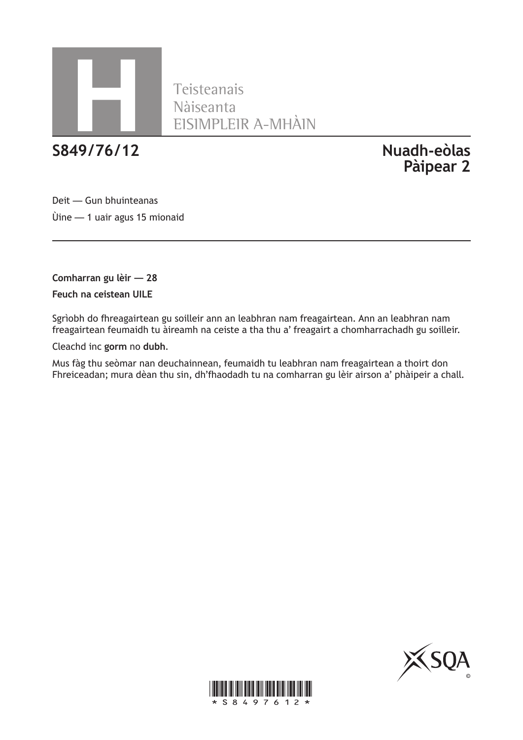

Teisteanais Nàiseanta<br>EISIMPLEIR A-MHÀIN<br>**S849/76/12** 

**S849/76/12 Nuadh-eòlas Pàipear 2**

Deit — Gun bhuinteanas Ùine — 1 uair agus 15 mionaid

**Comharran gu lèir — 28 Feuch na ceistean UILE**

Sgrìobh do fhreagairtean gu soilleir ann an leabhran nam freagairtean. Ann an leabhran nam freagairtean feumaidh tu àireamh na ceiste a tha thu a' freagairt a chomharrachadh gu soilleir.

Cleachd inc **gorm** no **dubh**.

Mus fàg thu seòmar nan deuchainnean, feumaidh tu leabhran nam freagairtean a thoirt don Fhreiceadan; mura dèan thu sin, dh'fhaodadh tu na comharran gu lèir airson a' phàipeir a chall.



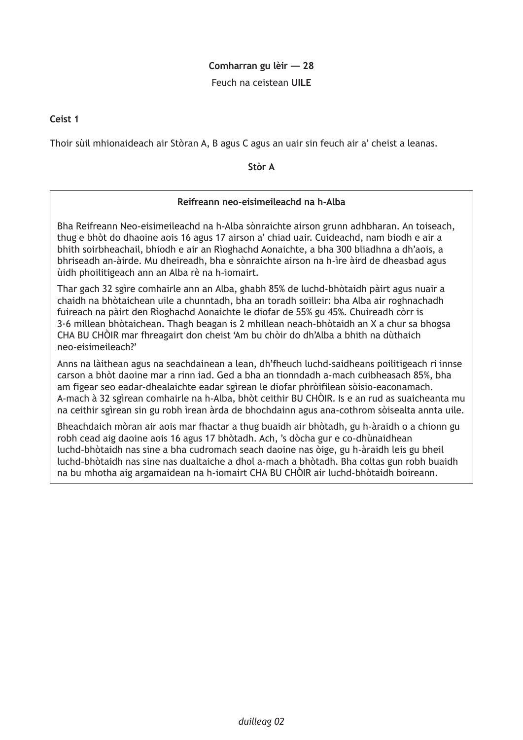## **Comharran gu lèir — 28**

Feuch na ceistean **UILE**

**Ceist 1**

Thoir sùil mhionaideach air Stòran A, B agus C agus an uair sin feuch air a' cheist a leanas.

**Stòr A**

## **Reifreann neo-eisimeileachd na h-Alba**

Bha Reifreann Neo-eisimeileachd na h-Alba sònraichte airson grunn adhbharan. An toiseach, thug e bhòt do dhaoine aois 16 agus 17 airson a' chiad uair. Cuideachd, nam biodh e air a bhith soirbheachail, bhiodh e air an Rìoghachd Aonaichte, a bha 300 bliadhna a dh'aois, a bhriseadh an-àirde. Mu dheireadh, bha e sònraichte airson na h-ìre àird de dheasbad agus ùidh phoilitigeach ann an Alba rè na h-iomairt.

Thar gach 32 sgìre comhairle ann an Alba, ghabh 85% de luchd-bhòtaidh pàirt agus nuair a chaidh na bhòtaichean uile a chunntadh, bha an toradh soilleir: bha Alba air roghnachadh fuireach na pàirt den Rìoghachd Aonaichte le diofar de 55% gu 45%. Chuireadh còrr is 3·6 millean bhòtaichean. Thagh beagan is 2 mhillean neach-bhòtaidh an X a chur sa bhogsa CHA BU CHÒIR mar fhreagairt don cheist 'Am bu chòir do dh'Alba a bhith na dùthaich neo-eisimeileach?'

Anns na làithean agus na seachdainean a lean, dh'fheuch luchd-saidheans poilitigeach ri innse carson a bhòt daoine mar a rinn iad. Ged a bha an tionndadh a-mach cuibheasach 85%, bha am figear seo eadar-dhealaichte eadar sgìrean le diofar phròifilean sòisio-eaconamach. A-mach à 32 sgìrean comhairle na h-Alba, bhòt ceithir BU CHÒIR. Is e an rud as suaicheanta mu na ceithir sgìrean sin gu robh ìrean àrda de bhochdainn agus ana-cothrom sòisealta annta uile.

Bheachdaich mòran air aois mar fhactar a thug buaidh air bhòtadh, gu h-àraidh o a chionn gu robh cead aig daoine aois 16 agus 17 bhòtadh. Ach, 's dòcha gur e co-dhùnaidhean luchd-bhòtaidh nas sine a bha cudromach seach daoine nas òige, gu h-àraidh leis gu bheil luchd-bhòtaidh nas sine nas dualtaiche a dhol a-mach a bhòtadh. Bha coltas gun robh buaidh na bu mhotha aig argamaidean na h-iomairt CHA BU CHÒIR air luchd-bhòtaidh boireann.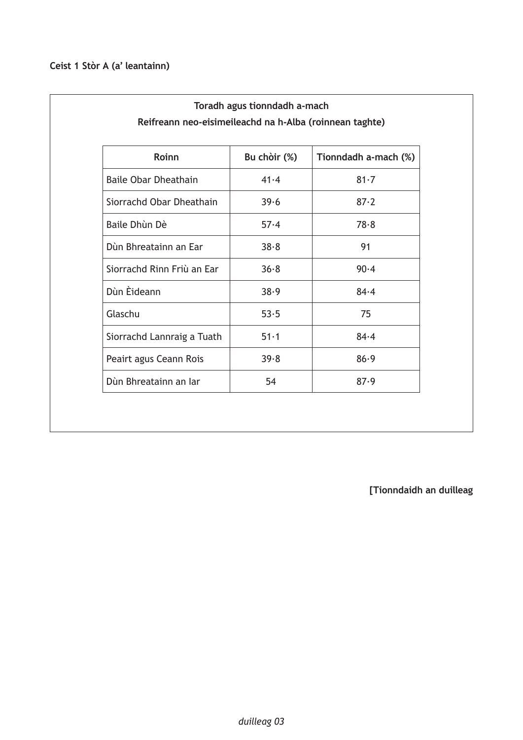| Roinn                       | Bu chòir (%) | Tionndadh a-mach (%) |
|-----------------------------|--------------|----------------------|
| <b>Baile Obar Dheathain</b> | 41.4         | $81 - 7$             |
| Siorrachd Obar Dheathain    | 39.6         | $87 - 2$             |
| Baile Dhùn Dè               | 57.4         | 78.8                 |
| Dùn Bhreatainn an Ear       | 38.8         | 91                   |
| Siorrachd Rinn Friù an Ear  | 36.8         | 90.4                 |
| Dùn Èideann                 | 38.9         | $84 - 4$             |
| Glaschu                     | 53.5         | 75                   |
| Siorrachd Lannraig a Tuath  | $51-1$       | $84 - 4$             |
| Peairt agus Ceann Rois      | 39.8         | 86.9                 |
| Dùn Bhreatainn an Iar       | 54           | 87.9                 |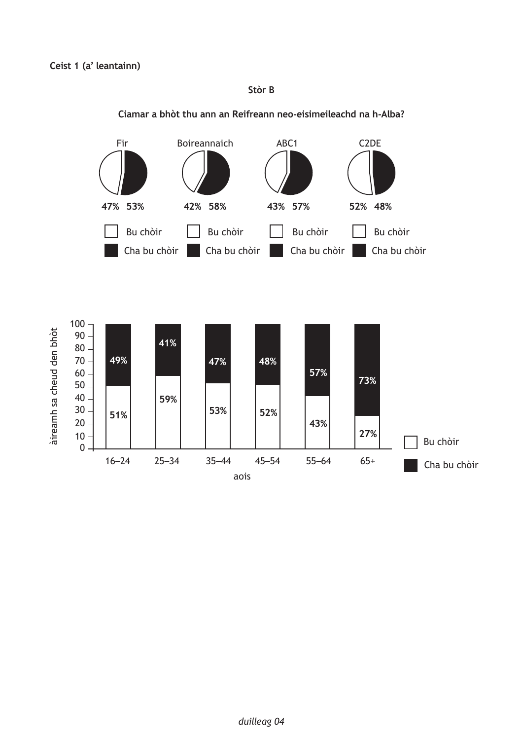**Stòr B**



#### **Ciamar a bhòt thu ann an Reifreann neo-eisimeileachd na h-Alba?**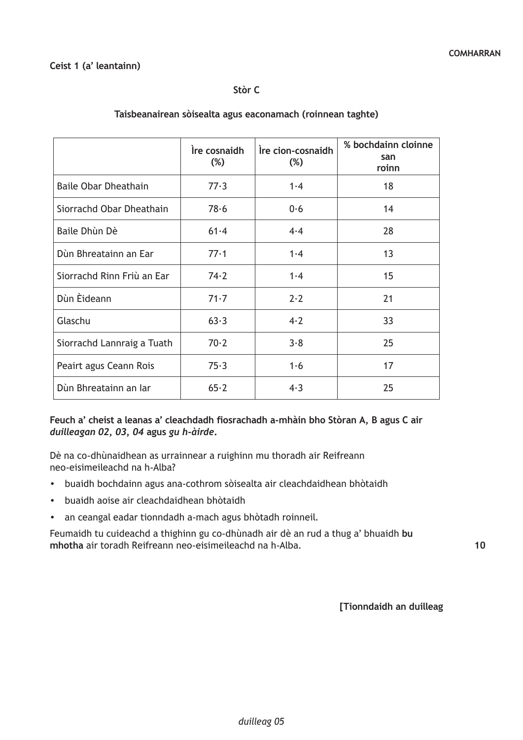## **Ceist 1 (a' leantainn)**

#### **Stòr C**

|                             | Ire cosnaidh<br>$(\%)$ | Ire cion-cosnaidh<br>$(\%)$ | % bochdainn cloinne<br>san<br>roinn |
|-----------------------------|------------------------|-----------------------------|-------------------------------------|
| <b>Baile Obar Dheathain</b> | 77.3                   | 1.4                         | 18                                  |
| Siorrachd Obar Dheathain    | 78.6                   | 0.6                         | 14                                  |
| Baile Dhùn Dè               | $61 - 4$               | 4.4                         | 28                                  |
| Dùn Bhreatainn an Ear       | 77.1                   | 1.4                         | 13                                  |
| Siorrachd Rinn Friù an Ear  | 74.2                   | 1.4                         | 15                                  |
| Dùn Èideann                 | $71 - 7$               | $2 \cdot 2$                 | 21                                  |
| Glaschu                     | 63.3                   | 4.2                         | 33                                  |
| Siorrachd Lannraig a Tuath  | 70.2                   | 3.8                         | 25                                  |
| Peairt agus Ceann Rois      | 75.3                   | 1·6                         | 17                                  |
| Dùn Bhreatainn an Iar       | 65.2                   | 4.3                         | 25                                  |

## **Taisbeanairean sòisealta agus eaconamach (roinnean taghte)**

#### **Feuch a' cheist a leanas a' cleachdadh fiosrachadh a-mhàin bho Stòran A, B agus C air**  *duilleagan 02, 03, 04* **agus** *gu h-àirde***.**

Dè na co-dhùnaidhean as urrainnear a ruighinn mu thoradh air Reifreann neo-eisimeileachd na h-Alba?

- buaidh bochdainn agus ana-cothrom sòisealta air cleachdaidhean bhòtaidh
- buaidh aoise air cleachdaidhean bhòtaidh
- an ceangal eadar tionndadh a-mach agus bhòtadh roinneil.

Feumaidh tu cuideachd a thighinn gu co-dhùnadh air dè an rud a thug a' bhuaidh **bu mhotha** air toradh Reifreann neo-eisimeileachd na h-Alba.

**10**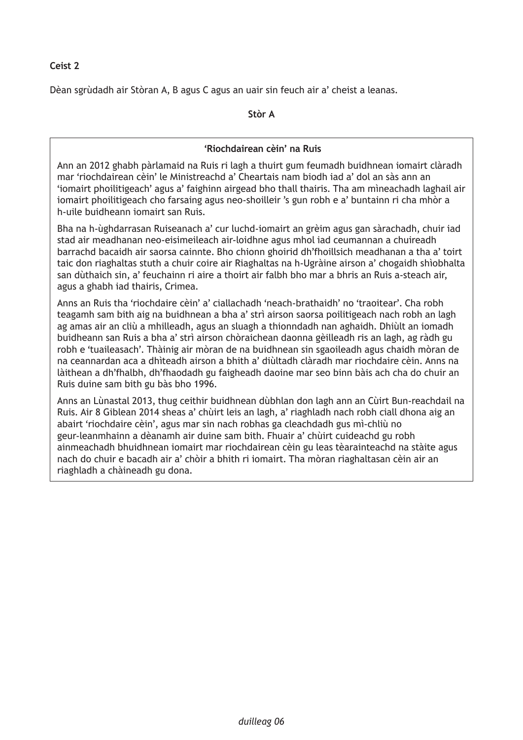Dèan sgrùdadh air Stòran A, B agus C agus an uair sin feuch air a' cheist a leanas.

**Stòr A**

# **'Riochdairean cèin' na Ruis**

Ann an 2012 ghabh pàrlamaid na Ruis ri lagh a thuirt gum feumadh buidhnean iomairt clàradh mar 'riochdairean cèin' le Ministreachd a' Cheartais nam biodh iad a' dol an sàs ann an 'iomairt phoilitigeach' agus a' faighinn airgead bho thall thairis. Tha am mìneachadh laghail air iomairt phoilitigeach cho farsaing agus neo-shoilleir 's gun robh e a' buntainn ri cha mhòr a h-uile buidheann iomairt san Ruis.

Bha na h-ùghdarrasan Ruiseanach a' cur luchd-iomairt an grèim agus gan sàrachadh, chuir iad stad air meadhanan neo-eisimeileach air-loidhne agus mhol iad ceumannan a chuireadh barrachd bacaidh air saorsa cainnte. Bho chionn ghoirid dh'fhoillsich meadhanan a tha a' toirt taic don riaghaltas stuth a chuir coire air Riaghaltas na h-Ugràine airson a' chogaidh shìobhalta san dùthaich sin, a' feuchainn ri aire a thoirt air falbh bho mar a bhris an Ruis a-steach air, agus a ghabh iad thairis, Crimea.

Anns an Ruis tha 'riochdaire cèin' a' ciallachadh 'neach-brathaidh' no 'traoitear'. Cha robh teagamh sam bith aig na buidhnean a bha a' strì airson saorsa poilitigeach nach robh an lagh ag amas air an cliù a mhilleadh, agus an sluagh a thionndadh nan aghaidh. Dhiùlt an iomadh buidheann san Ruis a bha a' strì airson chòraichean daonna gèilleadh ris an lagh, ag ràdh gu robh e 'tuaileasach'. Thàinig air mòran de na buidhnean sin sgaoileadh agus chaidh mòran de na ceannardan aca a dhìteadh airson a bhith a' diùltadh clàradh mar riochdaire cèin. Anns na làithean a dh'fhalbh, dh'fhaodadh gu faigheadh daoine mar seo binn bàis ach cha do chuir an Ruis duine sam bith gu bàs bho 1996.

Anns an Lùnastal 2013, thug ceithir buidhnean dùbhlan don lagh ann an Cùirt Bun-reachdail na Ruis. Air 8 Giblean 2014 sheas a' chùirt leis an lagh, a' riaghladh nach robh ciall dhona aig an abairt 'riochdaire cèin', agus mar sin nach robhas ga cleachdadh gus mì-chliù no geur-leanmhainn a dèanamh air duine sam bith. Fhuair a' chùirt cuideachd gu robh ainmeachadh bhuidhnean iomairt mar riochdairean cèin gu leas tèarainteachd na stàite agus nach do chuir e bacadh air a' chòir a bhith ri iomairt. Tha mòran riaghaltasan cèin air an riaghladh a chàineadh gu dona.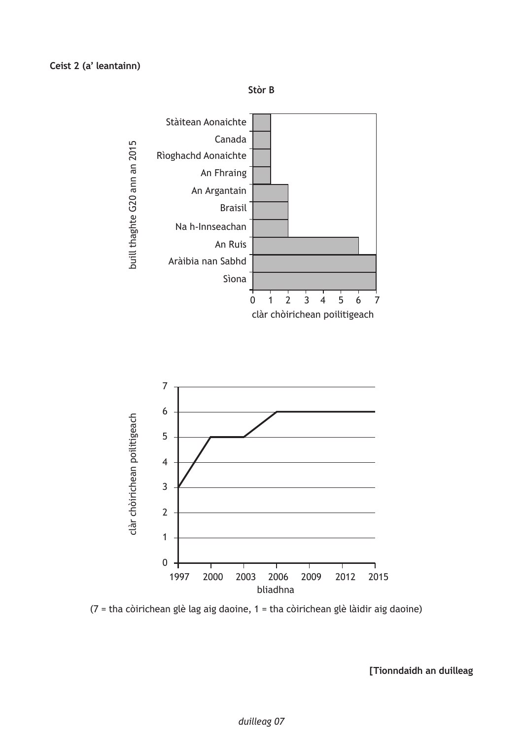



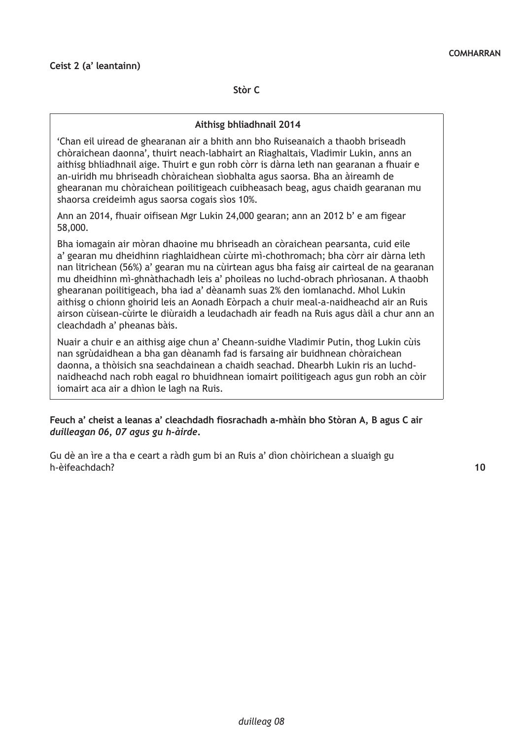**Stòr C**

#### **Aithisg bhliadhnail 2014**

'Chan eil uiread de ghearanan air a bhith ann bho Ruiseanaich a thaobh briseadh chòraichean daonna', thuirt neach-labhairt an Riaghaltais, Vladimir Lukin, anns an aithisg bhliadhnail aige. Thuirt e gun robh còrr is dàrna leth nan gearanan a fhuair e an-uiridh mu bhriseadh chòraichean sìobhalta agus saorsa. Bha an àireamh de ghearanan mu chòraichean poilitigeach cuibheasach beag, agus chaidh gearanan mu shaorsa creideimh agus saorsa cogais sìos 10%.

Ann an 2014, fhuair oifisean Mgr Lukin 24,000 gearan; ann an 2012 b' e am figear 58,000.

Bha iomagain air mòran dhaoine mu bhriseadh an còraichean pearsanta, cuid eile a' gearan mu dheidhinn riaghlaidhean cùirte mì-chothromach; bha còrr air dàrna leth nan litrichean (56%) a' gearan mu na cùirtean agus bha faisg air cairteal de na gearanan mu dheidhinn mì-ghnàthachadh leis a' phoileas no luchd-obrach phrìosanan. A thaobh ghearanan poilitigeach, bha iad a' dèanamh suas 2% den iomlanachd. Mhol Lukin aithisg o chionn ghoirid leis an Aonadh Eòrpach a chuir meal-a-naidheachd air an Ruis airson cùisean-cùirte le diùraidh a leudachadh air feadh na Ruis agus dàil a chur ann an cleachdadh a' pheanas bàis.

Nuair a chuir e an aithisg aige chun a' Cheann-suidhe Vladimir Putin, thog Lukin cùis nan sgrùdaidhean a bha gan dèanamh fad is farsaing air buidhnean chòraichean daonna, a thòisich sna seachdainean a chaidh seachad. Dhearbh Lukin ris an luchdnaidheachd nach robh eagal ro bhuidhnean iomairt poilitigeach agus gun robh an còir iomairt aca air a dhìon le lagh na Ruis.

#### **Feuch a' cheist a leanas a' cleachdadh fiosrachadh a-mhàin bho Stòran A, B agus C air**  *duilleagan 06, 07 agus gu h-àirde***.**

Gu dè an ìre a tha e ceart a ràdh gum bi an Ruis a' dìon chòirichean a sluaigh gu h-èifeachdach? **10**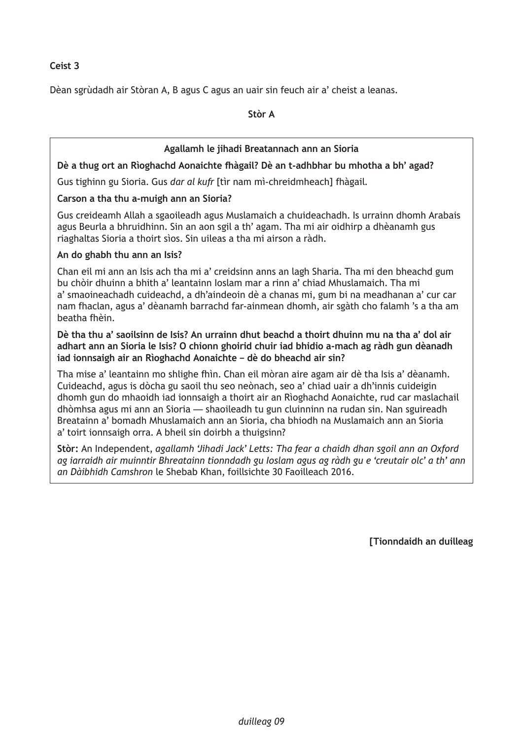Dèan sgrùdadh air Stòran A, B agus C agus an uair sin feuch air a' cheist a leanas.

**Stòr A**

# **Agallamh le jihadi Breatannach ann an Sioria**

**Dè a thug ort an Rìoghachd Aonaichte fhàgail? Dè an t-adhbhar bu mhotha a bh' agad?**

Gus tighinn gu Sioria. Gus *dar al kufr* [tìr nam mì-chreidmheach] fhàgail.

## **Carson a tha thu a-muigh ann an Sioria?**

Gus creideamh Allah a sgaoileadh agus Muslamaich a chuideachadh. Is urrainn dhomh Arabais agus Beurla a bhruidhinn. Sin an aon sgil a th' agam. Tha mi air oidhirp a dhèanamh gus riaghaltas Sioria a thoirt sìos. Sin uileas a tha mi airson a ràdh.

## **An do ghabh thu ann an Isis?**

Chan eil mi ann an Isis ach tha mi a' creidsinn anns an lagh Sharia. Tha mi den bheachd gum bu chòir dhuinn a bhith a' leantainn Ioslam mar a rinn a' chiad Mhuslamaich. Tha mi a' smaoineachadh cuideachd, a dh'aindeoin dè a chanas mi, gum bi na meadhanan a' cur car nam fhaclan, agus a' dèanamh barrachd far-ainmean dhomh, air sgàth cho falamh 's a tha am beatha fhèin.

**Dè tha thu a' saoilsinn de Isis? An urrainn dhut beachd a thoirt dhuinn mu na tha a' dol air adhart ann an Sioria le Isis? O chionn ghoirid chuir iad bhidio a-mach ag ràdh gun dèanadh iad ionnsaigh air an Rìoghachd Aonaichte – dè do bheachd air sin?**

Tha mise a' leantainn mo shlighe fhìn. Chan eil mòran aire agam air dè tha Isis a' dèanamh. Cuideachd, agus is dòcha gu saoil thu seo neònach, seo a' chiad uair a dh'innis cuideigin dhomh gun do mhaoidh iad ionnsaigh a thoirt air an Rìoghachd Aonaichte, rud car maslachail dhòmhsa agus mi ann an Sioria — shaoileadh tu gun cluinninn na rudan sin. Nan sguireadh Breatainn a' bomadh Mhuslamaich ann an Sioria, cha bhiodh na Muslamaich ann an Sioria a' toirt ionnsaigh orra. A bheil sin doirbh a thuigsinn?

**Stòr:** An Independent, *agallamh 'Jihadi Jack' Letts: Tha fear a chaidh dhan sgoil ann an Oxford ag iarraidh air muinntir Bhreatainn tionndadh gu Ioslam agus ag ràdh gu e 'creutair olc' a th' ann an Dàibhidh Camshron* le Shebab Khan, foillsichte 30 Faoilleach 2016.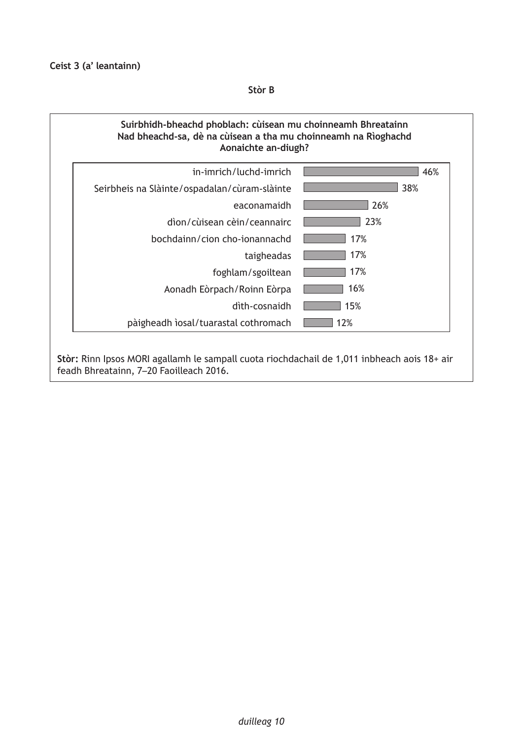**Stòr B**

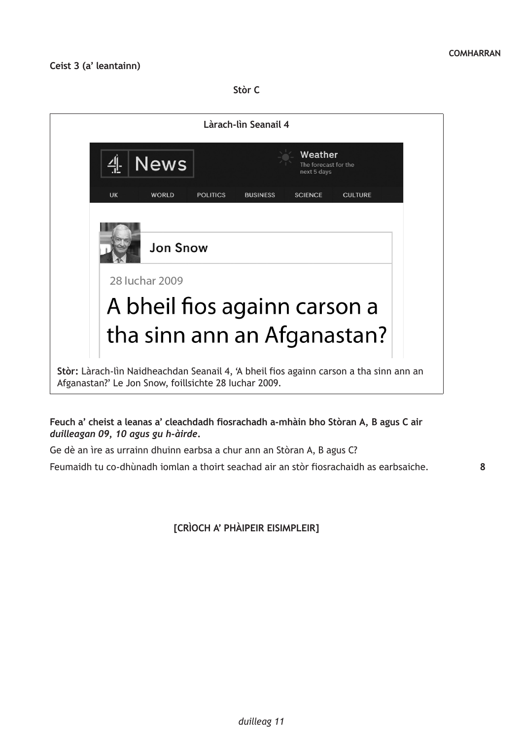**Stòr C**



## **Feuch a' cheist a leanas a' cleachdadh fiosrachadh a-mhàin bho Stòran A, B agus C air**  *duilleagan 09, 10 agus gu h-àirde***.**

Ge dè an ìre as urrainn dhuinn earbsa a chur ann an Stòran A, B agus C?

Feumaidh tu co-dhùnadh iomlan a thoirt seachad air an stòr fiosrachaidh as earbsaiche.

**[CRÌOCH A' PHÀIPEIR EISIMPLEIR]**